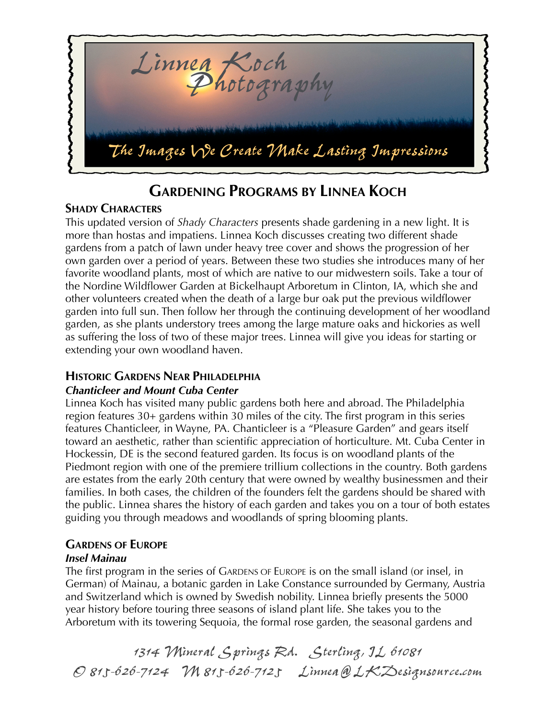

# **GARDENING PROGRAMS BY LINNEA KOCH**

# **SHADY CHARACTERS**

This updated version of *Shady Characters* presents shade gardening in a new light. It is more than hostas and impatiens. Linnea Koch discusses creating two different shade gardens from a patch of lawn under heavy tree cover and shows the progression of her own garden over a period of years. Between these two studies she introduces many of her favorite woodland plants, most of which are native to our midwestern soils. Take a tour of the Nordine Wildflower Garden at Bickelhaupt Arboretum in Clinton, IA, which she and other volunteers created when the death of a large bur oak put the previous wildflower garden into full sun. Then follow her through the continuing development of her woodland garden, as she plants understory trees among the large mature oaks and hickories as well as suffering the loss of two of these major trees. Linnea will give you ideas for starting or extending your own woodland haven.

# **HISTORIC GARDENS NEAR PHILADELPHIA**

## *Chanticleer and Mount Cuba Center*

Linnea Koch has visited many public gardens both here and abroad. The Philadelphia region features 30+ gardens within 30 miles of the city. The first program in this series features Chanticleer, in Wayne, PA. Chanticleer is a "Pleasure Garden" and gears itself toward an aesthetic, rather than scientific appreciation of horticulture. Mt. Cuba Center in Hockessin, DE is the second featured garden. Its focus is on woodland plants of the Piedmont region with one of the premiere trillium collections in the country. Both gardens are estates from the early 20th century that were owned by wealthy businessmen and their families. In both cases, the children of the founders felt the gardens should be shared with the public. Linnea shares the history of each garden and takes you on a tour of both estates guiding you through meadows and woodlands of spring blooming plants.

# **GARDENS OF EUROPE**

### *Insel Mainau*

The first program in the series of GARDENS OF EUROPE is on the small island (or insel, in German) of Mainau, a botanic garden in Lake Constance surrounded by Germany, Austria and Switzerland which is owned by Swedish nobility. Linnea briefly presents the 5000 year history before touring three seasons of island plant life. She takes you to the Arboretum with its towering Sequoia, the formal rose garden, the seasonal gardens and

*1314 Mineral Springs Rd. Sterling, IL 61081 O 815-626-7124 M 815-626-7125 Linnea@LKDesignsource.com*